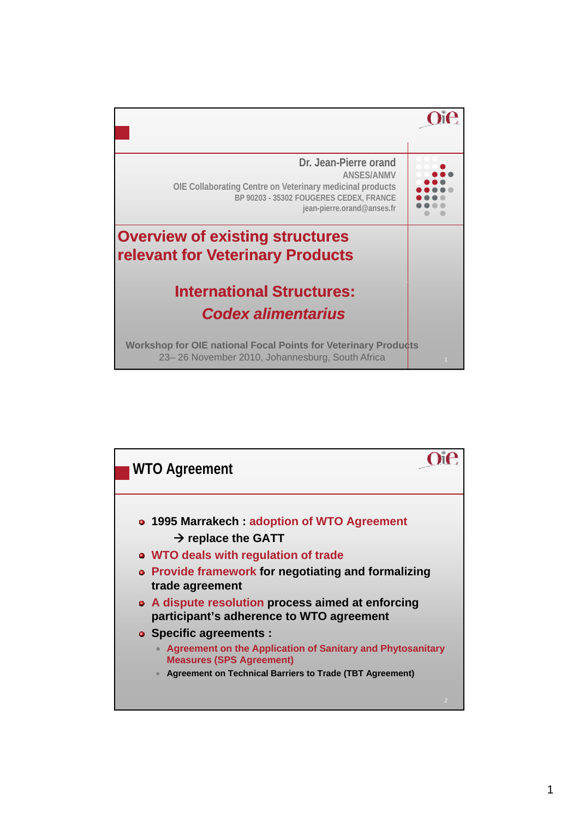

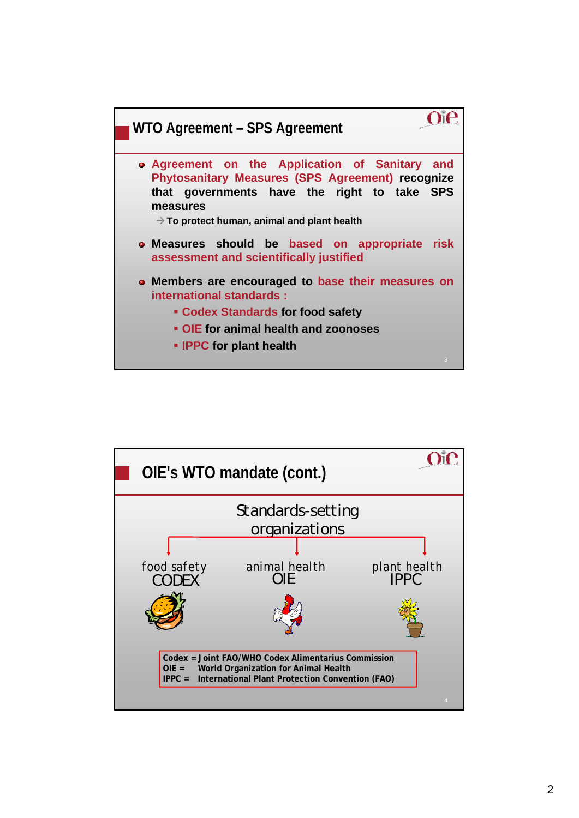

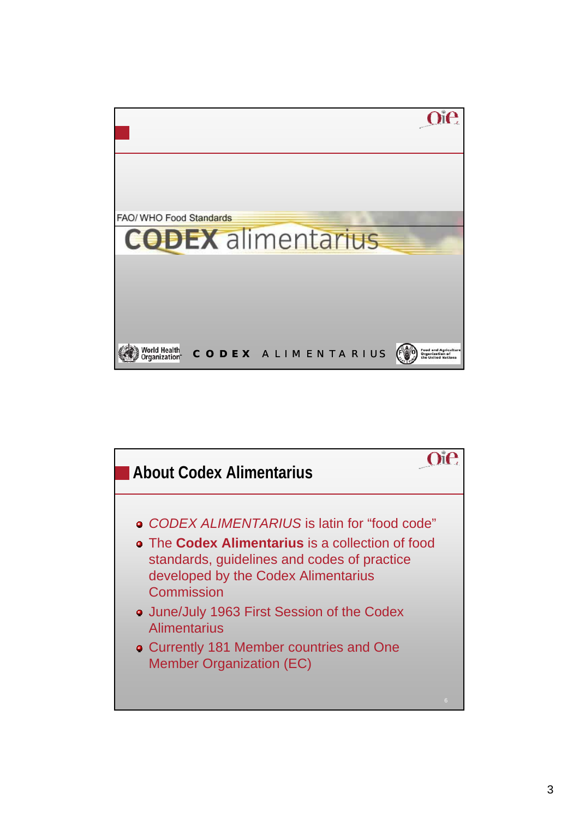

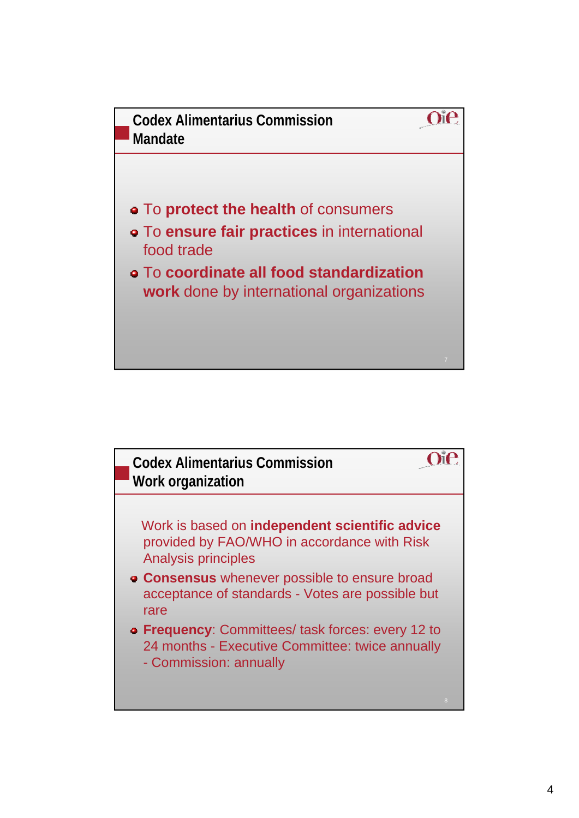

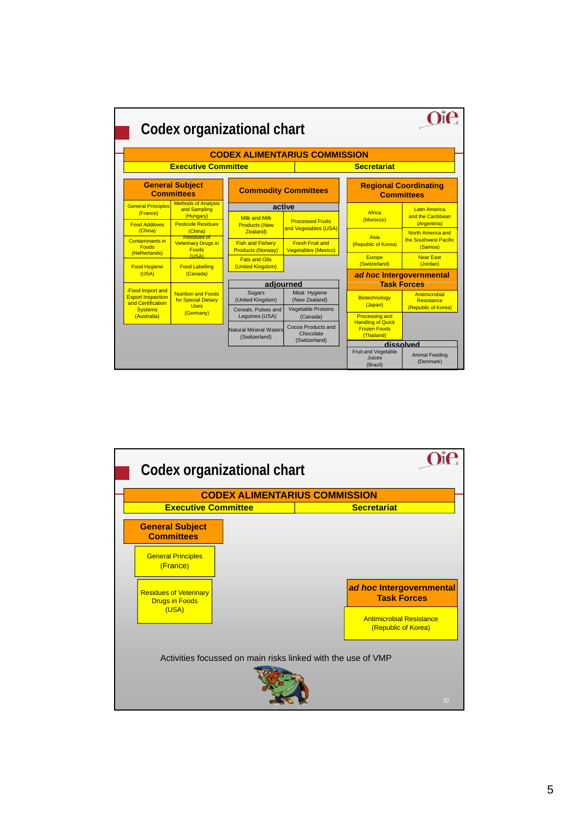

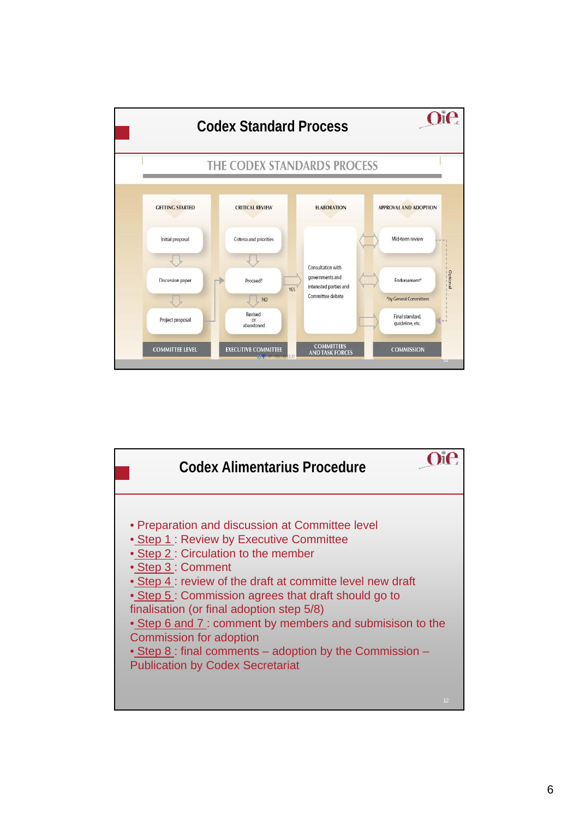

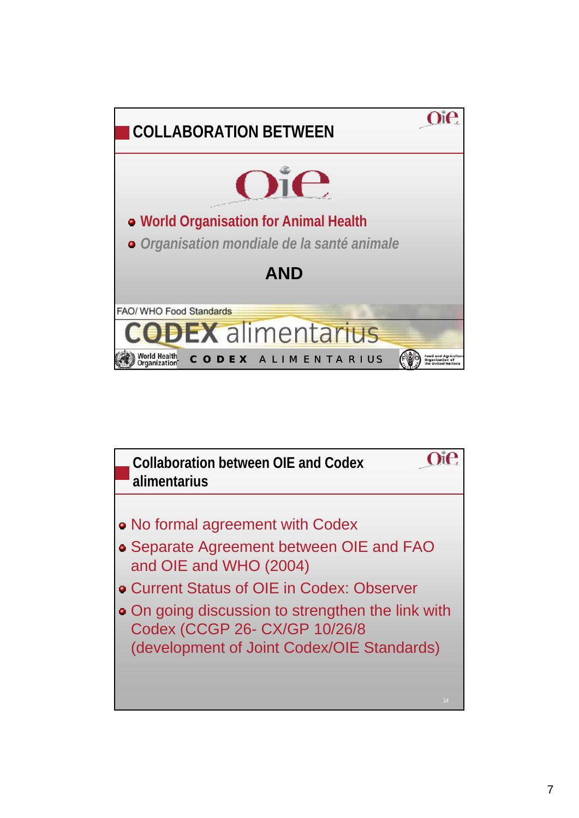

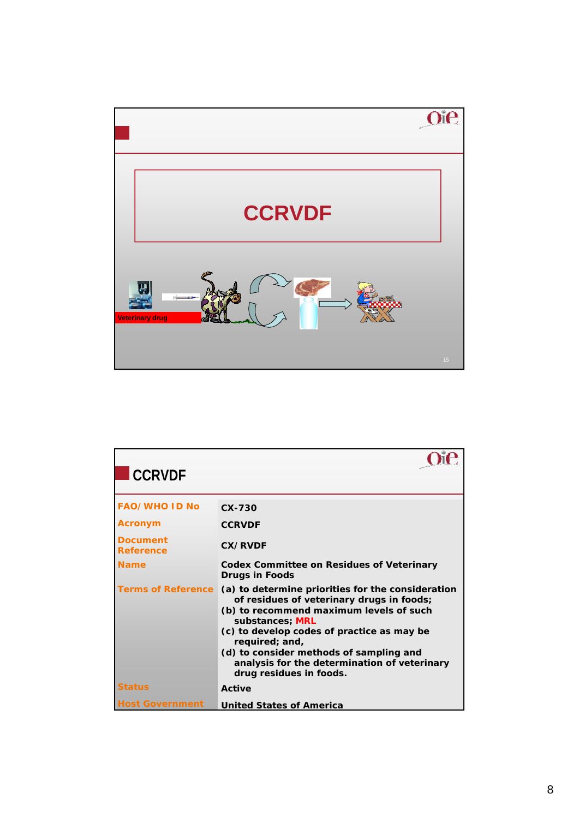

| <b>CCRVDF</b>                       |                                                                                                                                                                                                                                                                                                                                                    |
|-------------------------------------|----------------------------------------------------------------------------------------------------------------------------------------------------------------------------------------------------------------------------------------------------------------------------------------------------------------------------------------------------|
| <b>FAO/WHO ID No</b>                | $CX-730$                                                                                                                                                                                                                                                                                                                                           |
| <b>Acronym</b>                      | <b>CCRVDF</b>                                                                                                                                                                                                                                                                                                                                      |
| <b>Document</b><br><b>Reference</b> | <b>CX/RVDF</b>                                                                                                                                                                                                                                                                                                                                     |
| <b>Name</b>                         | <b>Codex Committee on Residues of Veterinary</b><br><b>Drugs in Foods</b>                                                                                                                                                                                                                                                                          |
| <b>Terms of Reference</b>           | (a) to determine priorities for the consideration<br>of residues of veterinary drugs in foods;<br>(b) to recommend maximum levels of such<br>substances; MRL<br>(c) to develop codes of practice as may be<br>required; and,<br>(d) to consider methods of sampling and<br>analysis for the determination of veterinary<br>drug residues in foods. |
| <b>Status</b>                       | Active                                                                                                                                                                                                                                                                                                                                             |
| <b>Host Government</b>              | <b>United States of America</b>                                                                                                                                                                                                                                                                                                                    |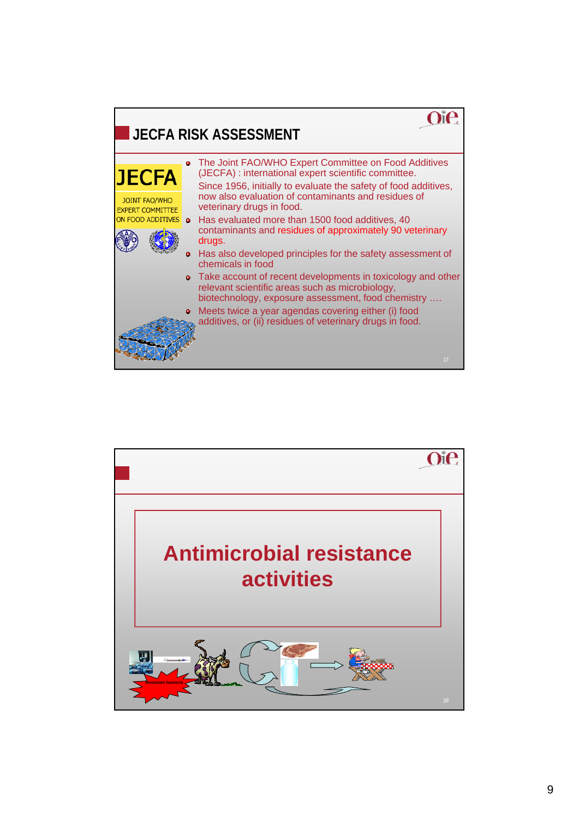

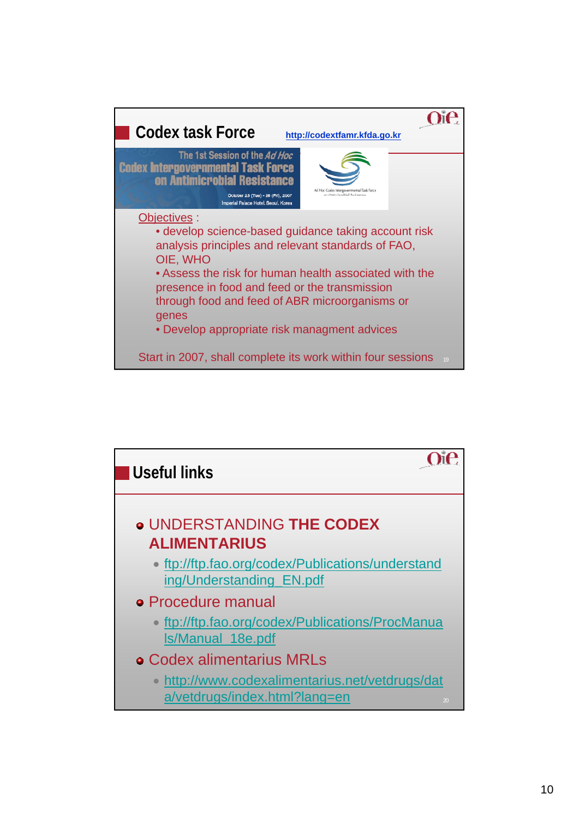

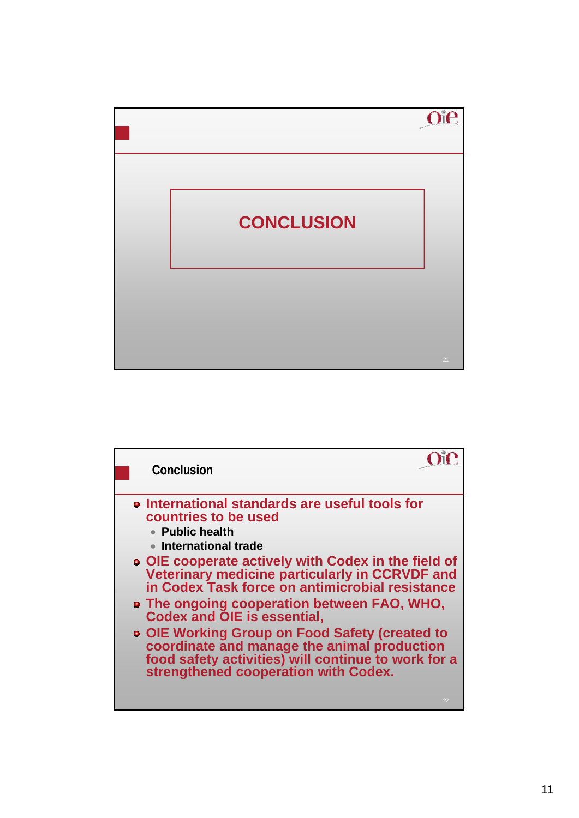